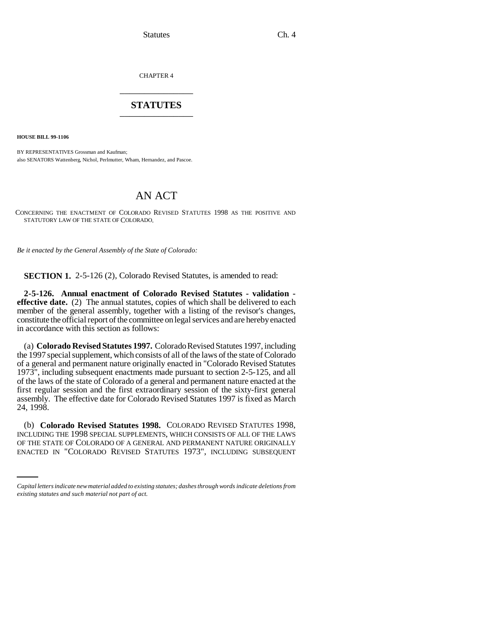Statutes Ch. 4

CHAPTER 4 \_\_\_\_\_\_\_\_\_\_\_\_\_\_\_

## **STATUTES** \_\_\_\_\_\_\_\_\_\_\_\_\_\_\_

**HOUSE BILL 99-1106** 

BY REPRESENTATIVES Grossman and Kaufman; also SENATORS Wattenberg, Nichol, Perlmutter, Wham, Hernandez, and Pascoe.

## AN ACT

CONCERNING THE ENACTMENT OF COLORADO REVISED STATUTES 1998 AS THE POSITIVE AND STATUTORY LAW OF THE STATE OF COLORADO.

*Be it enacted by the General Assembly of the State of Colorado:*

**SECTION 1.** 2-5-126 (2), Colorado Revised Statutes, is amended to read:

**2-5-126. Annual enactment of Colorado Revised Statutes - validation effective date.** (2) The annual statutes, copies of which shall be delivered to each member of the general assembly, together with a listing of the revisor's changes, constitute the official report of the committee on legal services and are hereby enacted in accordance with this section as follows:

(a) **Colorado Revised Statutes 1997.** Colorado Revised Statutes 1997, including the 1997 special supplement, which consists of all of the laws of the state of Colorado of a general and permanent nature originally enacted in "Colorado Revised Statutes 1973", including subsequent enactments made pursuant to section 2-5-125, and all of the laws of the state of Colorado of a general and permanent nature enacted at the first regular session and the first extraordinary session of the sixty-first general assembly. The effective date for Colorado Revised Statutes 1997 is fixed as March 24, 1998.

INCLUDING THE 1998 SPECIAL SUPPLEMENTS, WHICH CONSISTS OF ALL OF THE LAWS (b) **Colorado Revised Statutes 1998.** COLORADO REVISED STATUTES 1998, OF THE STATE OF COLORADO OF A GENERAL AND PERMANENT NATURE ORIGINALLY ENACTED IN "COLORADO REVISED STATUTES 1973", INCLUDING SUBSEQUENT

*Capital letters indicate new material added to existing statutes; dashes through words indicate deletions from existing statutes and such material not part of act.*